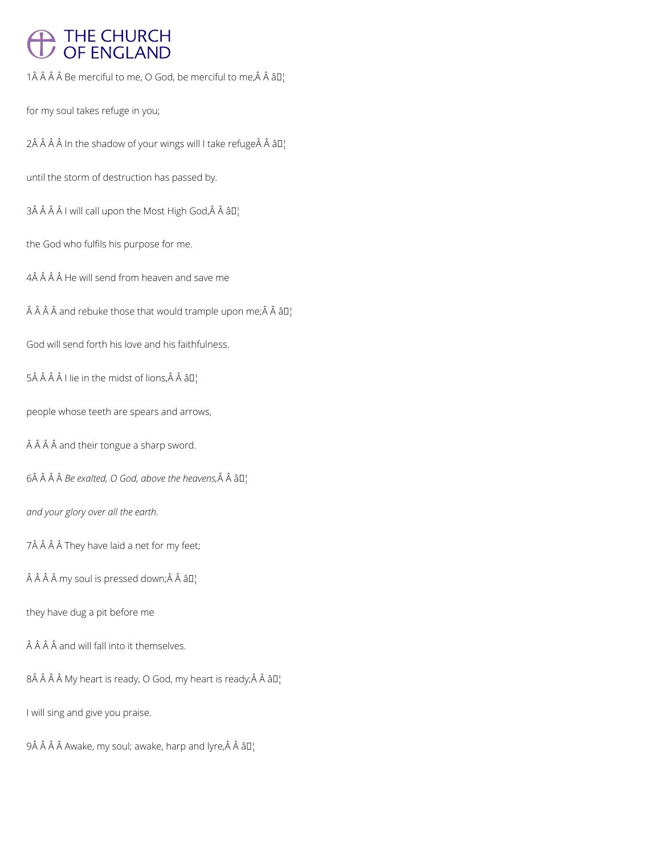# THE CHURCH<br>OF ENGLAND

 $1$  Â Â Â Be merciful to me, O God, be merciful to me, Â Â â $\mathbb{D}^1$ 

for my soul takes refuge in you;

2 In the shadow of your wings will I take refuge Â â  $II_1$ 

until the storm of destruction has passed by.

 $3\hat{A}$   $\hat{A}$   $\hat{A}$   $I$  will call upon the Most High God, $\hat{A}$   $\hat{A}$   $\hat{a}$   $II$ <sub>1</sub>

the God who fulfils his purpose for me.

4Â Â Â Â He will send from heaven and save me

 $\hat{A}$   $\hat{A}$   $\hat{A}$  and rebuke those that would trample upon me;  $\hat{A}$   $\hat{A}$   $\hat{a}$   $\Box$ 

God will send forth his love and his faithfulness.

5Â Â Â Â I lie in the midst of lions, Â Â â  $\Pi_1$ 

people whose teeth are spears and arrows,

Â Â Â and their tongue a sharp sword.

 $6\hat{A}$   $\hat{A}$   $\hat{A}$  *Be exalted, O God, above the heavens,* $\hat{A}$   $\hat{A}$   $\hat{a}$  $\Box$ 

*and your glory over all the earth.*

7Â Â Â Â They have laid a net for my feet;

 $\hat{A}$   $\hat{A}$   $\hat{A}$  my soul is pressed down; $\hat{A}$   $\hat{A}$   $\hat{a}$   $\Pi$ <sup>1</sup>

they have dug a pit before me

## $\hat{A}$   $\hat{A}$   $\hat{A}$  and will fall into it themselves.

 $8\hat{A}$   $\hat{A}$   $\hat{A}$   $M$ y heart is ready, O God, my heart is ready; $\hat{A}$   $\hat{A}$   $\hat{a}$  $\Box$ 

I will sing and give you praise.

 $9\hat{A}$   $\hat{A}$   $\hat{A}$   $\hat{A}$  awake, my soul; awake, harp and lyre, $\hat{A}$   $\hat{A}$   $\hat{a}$  $\square$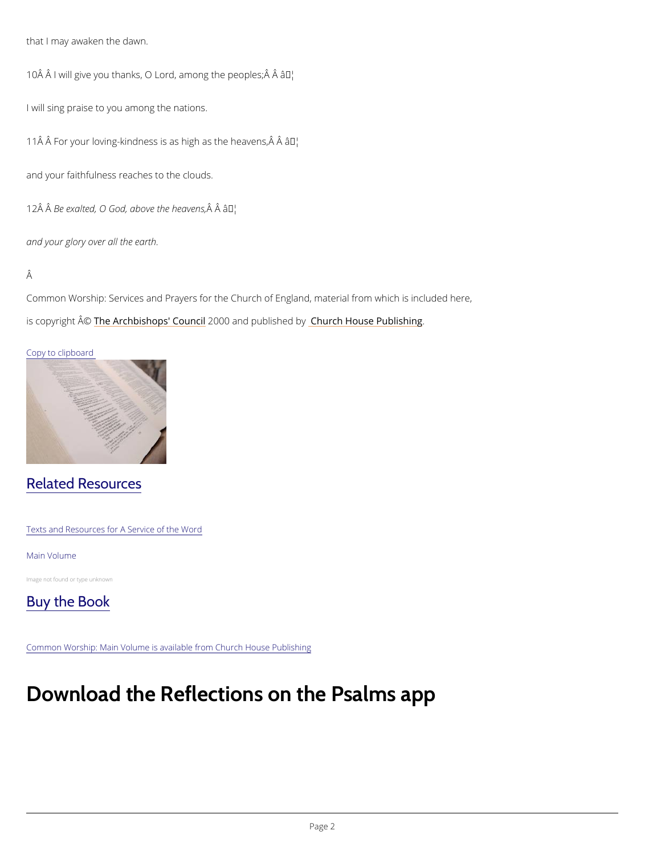that I may awaken the dawn.

 $10 \,\rm \AA$  I will give you thanks, O Lord,  $\hat{\textbf{a}}$  Mhong the peoples;  $\rm \hat{A}$   $\rm \hat{A}$ 

I will sing praise to you among the nations.

11 $\hat{A}$   $\hat{A}$  For your loving-kindness is as hairyh as the heavens,  $\hat{A}$   $\hat{A}$ 

and your faithfulness reaches to the clouds.

 $12\text{\AA}$  B $\text{\AA}$ e exalted, O God, abo $\text{\AA}$ ve  $\text{\AA}$  T $\text{\AA}$ le heavens,

and your glory over all the earth.

#### Â

Common Worship: Services and Prayers for the Church of England, material from which is inc is copyrighth  $\hat{\mathbb{A}}$  @Archbishops' 2000 Qun and publish held roby House Publishing

#### Copy to clipboard

## Related Resources

Texts and Resources for A Service of the Word

#### Main Volume

Image not found or type unknown



Common Worship: Main Volume is available from Church House Publishing

# Download the Reflections on the Psalms a